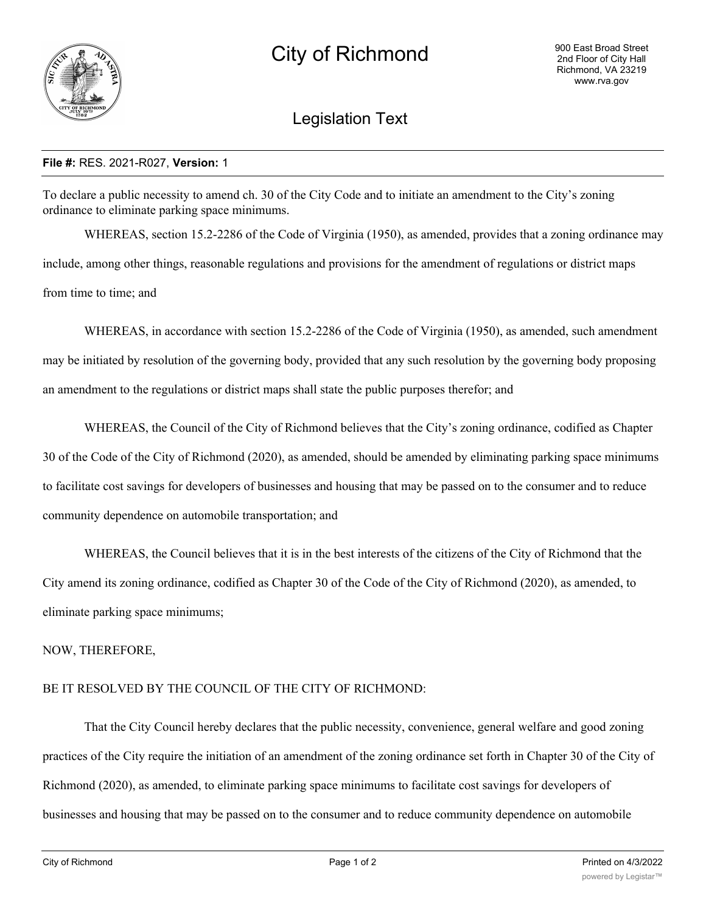

## Legislation Text

## **File #:** RES. 2021-R027, **Version:** 1

To declare a public necessity to amend ch. 30 of the City Code and to initiate an amendment to the City's zoning ordinance to eliminate parking space minimums.

WHEREAS, section 15.2-2286 of the Code of Virginia (1950), as amended, provides that a zoning ordinance may include, among other things, reasonable regulations and provisions for the amendment of regulations or district maps from time to time; and

WHEREAS, in accordance with section 15.2-2286 of the Code of Virginia (1950), as amended, such amendment may be initiated by resolution of the governing body, provided that any such resolution by the governing body proposing an amendment to the regulations or district maps shall state the public purposes therefor; and

WHEREAS, the Council of the City of Richmond believes that the City's zoning ordinance, codified as Chapter 30 of the Code of the City of Richmond (2020), as amended, should be amended by eliminating parking space minimums to facilitate cost savings for developers of businesses and housing that may be passed on to the consumer and to reduce community dependence on automobile transportation; and

WHEREAS, the Council believes that it is in the best interests of the citizens of the City of Richmond that the City amend its zoning ordinance, codified as Chapter 30 of the Code of the City of Richmond (2020), as amended, to eliminate parking space minimums;

NOW, THEREFORE,

## BE IT RESOLVED BY THE COUNCIL OF THE CITY OF RICHMOND:

That the City Council hereby declares that the public necessity, convenience, general welfare and good zoning practices of the City require the initiation of an amendment of the zoning ordinance set forth in Chapter 30 of the City of Richmond (2020), as amended, to eliminate parking space minimums to facilitate cost savings for developers of businesses and housing that may be passed on to the consumer and to reduce community dependence on automobile